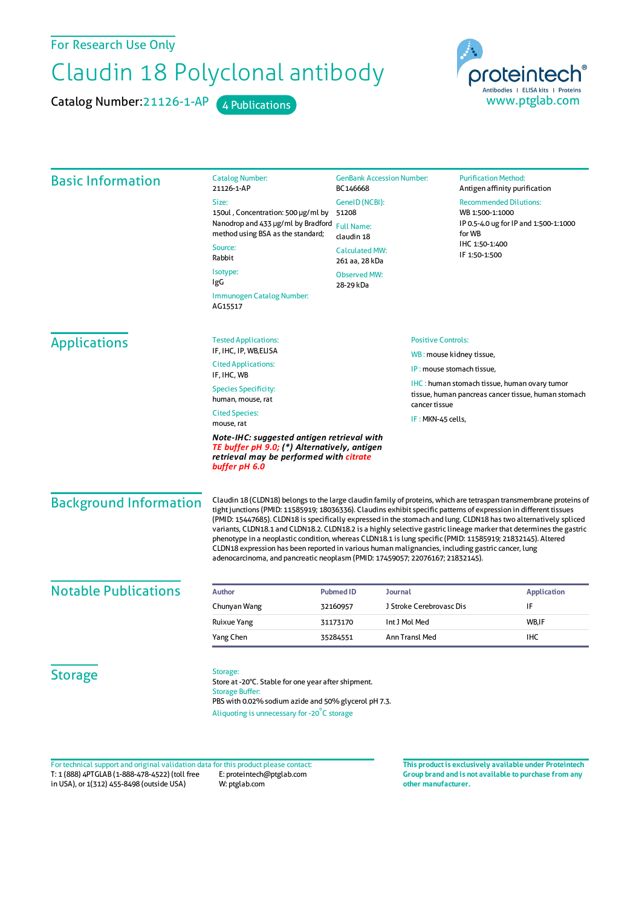For Research Use Only

## Claudin 18 Polyclonal antibody

Catalog Number: 21126-1-AP 4 Publications



| <b>Basic Information</b>      | <b>Catalog Number:</b><br>21126-1-AP                                                                                                                                                                                                                                                                                                                                                                                                                                                                                                                                                                                                                                                                                                                                                  | BC146668                                                   | <b>GenBank Accession Number:</b> |                                                                                                     | <b>Purification Method:</b><br>Antigen affinity purification |  |
|-------------------------------|---------------------------------------------------------------------------------------------------------------------------------------------------------------------------------------------------------------------------------------------------------------------------------------------------------------------------------------------------------------------------------------------------------------------------------------------------------------------------------------------------------------------------------------------------------------------------------------------------------------------------------------------------------------------------------------------------------------------------------------------------------------------------------------|------------------------------------------------------------|----------------------------------|-----------------------------------------------------------------------------------------------------|--------------------------------------------------------------|--|
|                               | Size:                                                                                                                                                                                                                                                                                                                                                                                                                                                                                                                                                                                                                                                                                                                                                                                 | GenelD (NCBI):<br>51208<br><b>Full Name:</b><br>claudin 18 |                                  | <b>Recommended Dilutions:</b><br>WB 1:500-1:1000<br>IP 0.5-4.0 ug for IP and 1:500-1:1000<br>for WB |                                                              |  |
|                               | 150ul, Concentration: 500 µg/ml by<br>Nanodrop and 433 µg/ml by Bradford                                                                                                                                                                                                                                                                                                                                                                                                                                                                                                                                                                                                                                                                                                              |                                                            |                                  |                                                                                                     |                                                              |  |
|                               | method using BSA as the standard;                                                                                                                                                                                                                                                                                                                                                                                                                                                                                                                                                                                                                                                                                                                                                     |                                                            |                                  |                                                                                                     |                                                              |  |
|                               | Source:<br>Rabbit                                                                                                                                                                                                                                                                                                                                                                                                                                                                                                                                                                                                                                                                                                                                                                     | <b>Calculated MW:</b><br>261 aa, 28 kDa                    |                                  | IHC 1:50-1:400<br>IF 1:50-1:500                                                                     |                                                              |  |
|                               | Isotype:                                                                                                                                                                                                                                                                                                                                                                                                                                                                                                                                                                                                                                                                                                                                                                              | <b>Observed MW:</b>                                        |                                  |                                                                                                     |                                                              |  |
|                               | IgG                                                                                                                                                                                                                                                                                                                                                                                                                                                                                                                                                                                                                                                                                                                                                                                   | 28-29 kDa                                                  |                                  |                                                                                                     |                                                              |  |
|                               | Immunogen Catalog Number:<br>AG15517                                                                                                                                                                                                                                                                                                                                                                                                                                                                                                                                                                                                                                                                                                                                                  |                                                            |                                  |                                                                                                     |                                                              |  |
| <b>Applications</b>           | <b>Tested Applications:</b>                                                                                                                                                                                                                                                                                                                                                                                                                                                                                                                                                                                                                                                                                                                                                           |                                                            |                                  | <b>Positive Controls:</b>                                                                           |                                                              |  |
|                               | IF, IHC, IP, WB, ELISA                                                                                                                                                                                                                                                                                                                                                                                                                                                                                                                                                                                                                                                                                                                                                                | WB: mouse kidney tissue,                                   |                                  |                                                                                                     |                                                              |  |
|                               | <b>Cited Applications:</b><br>IF, IHC, WB                                                                                                                                                                                                                                                                                                                                                                                                                                                                                                                                                                                                                                                                                                                                             |                                                            |                                  | IP: mouse stomach tissue,                                                                           |                                                              |  |
|                               | <b>Species Specificity:</b>                                                                                                                                                                                                                                                                                                                                                                                                                                                                                                                                                                                                                                                                                                                                                           |                                                            |                                  | <b>IHC</b> : human stomach tissue, human ovary tumor                                                |                                                              |  |
|                               | human, mouse, rat                                                                                                                                                                                                                                                                                                                                                                                                                                                                                                                                                                                                                                                                                                                                                                     | cancer tissue                                              |                                  | tissue, human pancreas cancer tissue, human stomach                                                 |                                                              |  |
|                               | <b>Cited Species:</b><br>mouse, rat                                                                                                                                                                                                                                                                                                                                                                                                                                                                                                                                                                                                                                                                                                                                                   |                                                            | IF: MKN-45 cells,                |                                                                                                     |                                                              |  |
|                               | Note-IHC: suggested antigen retrieval with<br>TE buffer pH 9.0; (*) Alternatively, antigen<br>retrieval may be performed with citrate<br>buffer pH 6.0                                                                                                                                                                                                                                                                                                                                                                                                                                                                                                                                                                                                                                |                                                            |                                  |                                                                                                     |                                                              |  |
| <b>Background Information</b> | Claudin 18 (CLDN18) belongs to the large claudin family of proteins, which are tetraspan transmembrane proteins of<br>tight junctions (PMID: 11585919; 18036336). Claudins exhibit specific patterns of expression in different tissues<br>(PMID: 15447685). CLDN18 is specifically expressed in the stomach and lung. CLDN18 has two alternatively spliced<br>variants, CLDN18.1 and CLDN18.2. CLDN18.2 is a highly selective gastric lineage marker that determines the gastric<br>phenotype in a neoplastic condition, whereas CLDN18.1 is lung specific (PMID: 11585919; 21832145). Altered<br>CLDN18 expression has been reported in various human malignancies, including gastric cancer, lung<br>adenocarcinoma, and pancreatic neoplasm (PMID: 17459057; 22076167; 21832145). |                                                            |                                  |                                                                                                     |                                                              |  |
| <b>Notable Publications</b>   | <b>Author</b>                                                                                                                                                                                                                                                                                                                                                                                                                                                                                                                                                                                                                                                                                                                                                                         | <b>Pubmed ID</b>                                           | Journal                          |                                                                                                     | <b>Application</b>                                           |  |
|                               | Chunyan Wang                                                                                                                                                                                                                                                                                                                                                                                                                                                                                                                                                                                                                                                                                                                                                                          | 32160957                                                   | J Stroke Cerebrovasc Dis         |                                                                                                     | IF                                                           |  |
|                               | Ruixue Yang                                                                                                                                                                                                                                                                                                                                                                                                                                                                                                                                                                                                                                                                                                                                                                           | 31173170                                                   | Int J Mol Med                    |                                                                                                     | WB,IF                                                        |  |
|                               | Yang Chen                                                                                                                                                                                                                                                                                                                                                                                                                                                                                                                                                                                                                                                                                                                                                                             | 35284551                                                   | Ann Transl Med                   |                                                                                                     | IHC                                                          |  |
| <b>Storage</b>                | Storage:<br>Store at -20°C. Stable for one year after shipment.<br><b>Storage Buffer:</b><br>PBS with 0.02% sodium azide and 50% glycerol pH 7.3.<br>Aliquoting is unnecessary for -20°C storage                                                                                                                                                                                                                                                                                                                                                                                                                                                                                                                                                                                      |                                                            |                                  |                                                                                                     |                                                              |  |

T: 1 (888) 4PTGLAB (1-888-478-4522) (toll free in USA), or 1(312) 455-8498 (outside USA) E: proteintech@ptglab.com W: ptglab.com Fortechnical support and original validation data forthis product please contact: **This productis exclusively available under Proteintech**

**Group brand and is not available to purchase from any other manufacturer.**